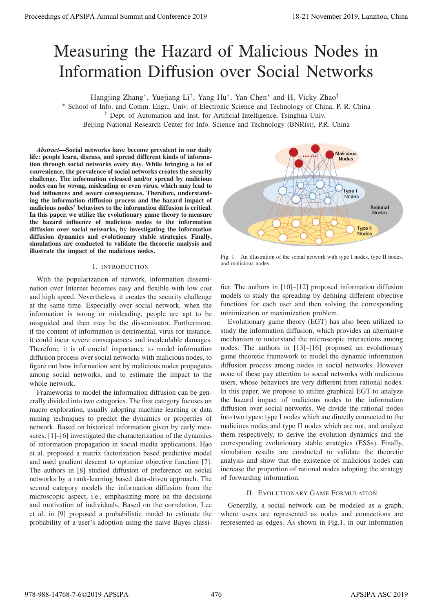# Measuring the Hazard of Malicious Nodes in Information Diffusion over Social Networks

Hangjing Zhang∗, Yuejiang Li†, Yang Hu∗, Yan Chen∗ and H. Vicky Zhao†

∗ School of Info. and Comm. Engr., Univ. of Electronic Science and Technology of China, P. R. China

Beijing National Research Center for Info. Science and Technology (BNRist), P.R. China

*Abstract*—Social networks have become prevalent in our daily life: people learn, discuss, and spread different kinds of information through social networks every day. While bringing a lot of convenience, the prevalence of social networks creates the security challenge. The information released and/or spread by malicious nodes can be wrong, misleading or even virus, which may lead to bad influences and severe consequences. Therefore, understanding the information diffusion process and the hazard impact of malicious nodes' behaviors to the information diffusion is critical. In this paper, we utilize the evolutionary game theory to measure the hazard influence of malicious nodes to the information diffusion over social networks, by investigating the information diffusion dynamics and evolutionary stable strategies. Finally, simulations are conducted to validate the theoretic analysis and illustrate the impact of the malicious nodes.

# I. INTRODUCTION

With the popularization of network, information dissemination over Internet becomes easy and flexible with low cost and high speed. Nevertheless, it creates the security challenge at the same time. Especially over social network, when the information is wrong or misleading, people are apt to be misguided and then may be the disseminator. Furthermore, if the content of information is detrimental, virus for instance, it could incur severe consequences and incalculable damages. Therefore, it is of crucial importance to model information diffusion process over social networks with malicious nodes, to figure out how information sent by malicious nodes propagates among social networks, and to estimate the impact to the whole network.

Frameworks to model the information diffusion can be generally divided into two categories. The first category focuses on macro exploration, usually adopting machine learning or data mining techniques to predict the dynamics or properties of network. Based on historical information given by early measures, [1]–[6] investigated the characterization of the dynamics of information propagation in social media applications. Hao et al. proposed a matrix factorization based predictive model and used gradient descent to optimize objective function [7]. The authors in [8] studied diffusion of preference on social networks by a rank-learning based data-driven approach. The second category models the information diffusion from the microscopic aspect, i.e., emphasizing more on the decisions and motivation of individuals. Based on the correlation, Lee et al. in [9] proposed a probabilistic model to estimate the probability of a user's adoption using the naive Bayes classi-



Fig. 1. An illustration of the social network with type I nodes, type II nodes, and malicious nodes.

fier. The authors in [10]–[12] proposed information diffusion models to study the spreading by defining different objective functions for each user and then solving the corresponding minimization or maximization problem.

Evolutionary game theory (EGT) has also been utilized to study the information diffusion, which provides an alternative mechanism to understand the microscopic interactions among nodes. The authors in [13]–[16] proposed an evolutionary game theoretic framework to model the dynamic information diffusion process among nodes in social networks. However none of these pay attention to social networks with malicious users, whose behaviors are very different from rational nodes. In this paper, we propose to utilize graphical EGT to analyze the hazard impact of malicious nodes to the information diffusion over social networks. We divide the rational nodes into two types: type I nodes which are directly connected to the malicious nodes and type II nodes which are not, and analyze them respectively, to derive the evolution dynamics and the corresponding evolutionary stable strategies (ESSs). Finally, simulation results are conducted to validate the theoretic analysis and show that the existence of malicious nodes can increase the proportion of rational nodes adopting the strategy of forwarding information. **Proceedings of APSIPA Annual Summit at Co-Co-co-2019**<br>
Measurement of Conference 2019<br>
Information Diffusion over Social Networks on the system of the system of the system of the system of the system of the system of the

## II. EVOLUTIONARY GAME FORMULATION

Generally, a social network can be modeled as a graph, where users are represented as nodes and connections are represented as edges. As shown in Fig.1, in our information

<sup>†</sup> Dept. of Automation and Inst. for Artificial Intelligence, Tsinghua Univ.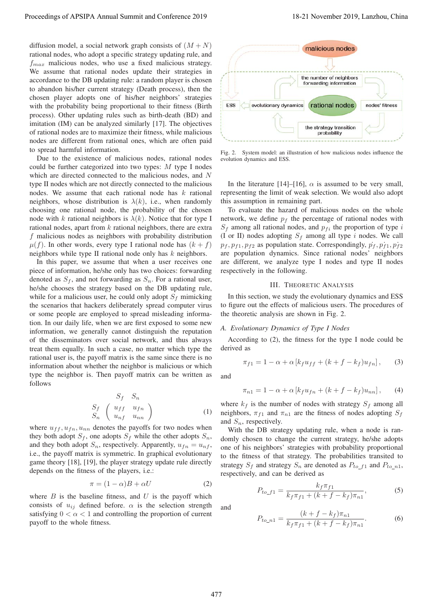diffusion model, a social network graph consists of  $(M + N)$ rational nodes, who adopt a specific strategy updating rule, and  $f_{max}$  malicious nodes, who use a fixed malicious strategy. We assume that rational nodes update their strategies in accordance to the DB updating rule: a random player is chosen to abandon his/her current strategy (Death process), then the chosen player adopts one of his/her neighbors' strategies with the probability being proportional to their fitness (Birth process). Other updating rules such as birth-death (BD) and imitation (IM) can be analyzed similarly [17]. The objectives of rational nodes are to maximize their fitness, while malicious nodes are different from rational ones, which are often paid to spread harmful information.

Due to the existence of malicious nodes, rational nodes could be further categorized into two types: M type I nodes which are directed connected to the malicious nodes, and N type II nodes which are not directly connected to the malicious nodes. We assume that each rational node has  $k$  rational neighbors, whose distribution is  $\lambda(k)$ , i.e., when randomly choosing one rational node, the probability of the chosen node with k rational neighbors is  $\lambda(k)$ . Notice that for type I rational nodes, apart from  $k$  rational neighbors, there are extra f malicious nodes as neighbors with probability distribution  $\mu(f)$ . In other words, every type I rational node has  $(k + f)$ neighbors while type II rational node only has k neighbors.

In this paper, we assume that when a user receives one piece of information, he/she only has two choices: forwarding denoted as  $S_f$ , and not forwarding as  $S_n$ . For a rational user, he/she chooses the strategy based on the DB updating rule, while for a malicious user, he could only adopt  $S_f$  mimicking the scenarios that hackers deliberately spread computer virus or some people are employed to spread misleading information. In our daily life, when we are first exposed to some new information, we generally cannot distinguish the reputation of the disseminators over social network, and thus always treat them equally. In such a case, no matter which type the rational user is, the payoff matrix is the same since there is no information about whether the neighbor is malicious or which type the neighbor is. Then payoff matrix can be written as follows Proceedings of APSIPA Annual Summit and Conference 2019<br>
3. The branching conference 2019 is a conference 2019 in the conference 2019 in the conference 2019 in the conference 2019 in the conference 2019 in the conference

$$
\begin{array}{ccc}\nS_f & S_n \\
S_f & \left(\begin{array}{cc} u_{ff} & u_{fn} \\ u_{nf} & u_{nn} \end{array}\right)\n\end{array} \tag{1}
$$

where  $u_{ff}$ ,  $u_{fn}$ ,  $u_{nn}$  denotes the payoffs for two nodes when they both adopt  $S_f$ , one adopts  $S_f$  while the other adopts  $S_n$ , and they both adopt  $S_n$ , respectively. Apparently,  $u_{fn} = u_{nf}$ , i.e., the payoff matrix is symmetric. In graphical evolutionary game theory [18], [19], the player strategy update rule directly depends on the fitness of the players, i.e.:

$$
\pi = (1 - \alpha)B + \alpha U \tag{2}
$$

where  $B$  is the baseline fitness, and  $U$  is the payoff which consists of  $u_{ij}$  defined before.  $\alpha$  is the selection strength satisfying  $0 < \alpha < 1$  and controlling the proportion of current payoff to the whole fitness.



Fig. 2. System model: an illustration of how malicious nodes influence the evolution dynamics and ESS.

In the literature [14]–[16],  $\alpha$  is assumed to be very small, representing the limit of weak selection. We would also adopt this assumption in remaining part.

To evaluate the hazard of malicious nodes on the whole network, we define  $p_f$  the percentage of rational nodes with  $S_f$  among all rational nodes, and  $p_{fi}$  the proportion of type i (I or II) nodes adopting  $S_f$  among all type i nodes. We call  $p_f, p_{f1}, p_{f2}$  as population state. Correspondingly,  $p_f, p_{f1}, p_{f2}$ <br>are population dynamics. Since rational nodes' peighbors are population dynamics. Since rational nodes' neighbors are different, we analyze type I nodes and type II nodes respectively in the following.

#### III. THEORETIC ANALYSIS

In this section, we study the evolutionary dynamics and ESS to figure out the effects of malicious users. The procedures of the theoretic analysis are shown in Fig. 2.

# *A. Evolutionary Dynamics of Type I Nodes*

According to (2), the fitness for the type I node could be derived as

$$
\pi_{f1} = 1 - \alpha + \alpha \left[ k_f u_{ff} + (k + f - k_f) u_{fn} \right], \qquad (3)
$$

and

$$
\pi_{n1} = 1 - \alpha + \alpha \left[ k_f u_{fn} + (k + f - k_f) u_{nn} \right], \qquad (4)
$$

where  $k_f$  is the number of nodes with strategy  $S_f$  among all neighbors,  $\pi_{f1}$  and  $\pi_{n1}$  are the fitness of nodes adopting  $S_f$ and  $S_n$ , respectively.

With the DB strategy updating rule, when a node is randomly chosen to change the current strategy, he/she adopts one of his neighbors' strategies with probability proportional to the fitness of that strategy. The probabilities transited to strategy  $S_f$  and strategy  $S_n$  are denoted as  $P_{to-f1}$  and  $P_{to-n1}$ , respectively, and can be derived as

$$
P_{to\_f1} = \frac{k_f \pi_{f1}}{k_f \pi_{f1} + (k + f - k_f) \pi_{n1}},\tag{5}
$$

and

$$
P_{to\_n1} = \frac{(k+f-k_f)\pi_{n1}}{k_f \pi_{f1} + (k+f-k_f)\pi_{n1}}.\tag{6}
$$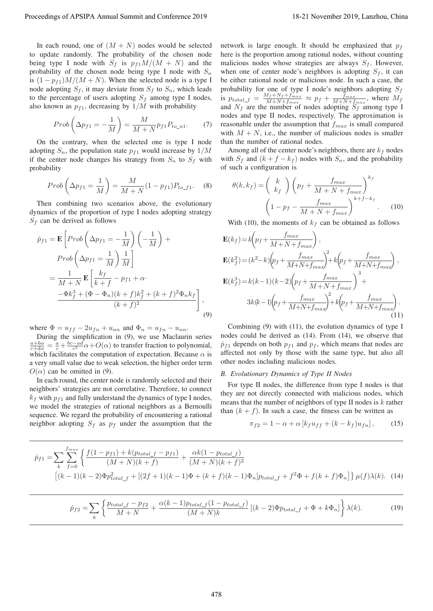In each round, one of  $(M + N)$  nodes would be selected to update randomly. The probability of the chosen node being type I node with  $S_f$  is  $p_{f1}M/(M + N)$  and the probability of the chosen node being type I node with  $S_n$ is  $(1 - p_{f1})M/(M + N)$ . When the selected node is a type I node adopting  $S_f$ , it may deviate from  $S_f$  to  $S_n$ , which leads to the percentage of users adopting  $S_f$  among type I nodes, also known as  $p_{f1}$ , decreasing by  $1/M$  with probability

$$
Prob\left(\Delta p_{f1} = -\frac{1}{M}\right) = \frac{M}{M+N}p_{f1}P_{to\_n1}.\tag{7}
$$

On the contrary, when the selected one is type I node adopting  $S_n$ , the population state  $p_{f1}$  would increase by  $1/M$ if the center node changes his strategy from  $S_n$  to  $S_f$  with probability

$$
Prob\left(\Delta p_{f1} = \frac{1}{M}\right) = \frac{M}{M+N}(1 - p_{f1})P_{to_{f1}}.
$$
 (8)

Then combining two scenarios above, the evolutionary dynamics of the proportion of type I nodes adopting strategy  $S_f$  can be derived as follows

$$
\dot{p}_{f1} = \mathbf{E} \left[ Prob \left( \Delta p_{f1} = -\frac{1}{M} \right) \left( -\frac{1}{M} \right) +
$$
  
\n
$$
Prob \left( \Delta p_{f1} = \frac{1}{M} \right) \frac{1}{M} \right]
$$
  
\n
$$
= \frac{1}{M+N} \mathbf{E} \left[ \frac{k_f}{k+f} - p_{f1} + \alpha \cdot
$$
  
\n
$$
- \Phi k_f^3 + (\Phi - \Phi_n)(k+f)k_f^2 + (k+f)^2 \Phi_n k_f \right],
$$
  
\n
$$
(k+f)^2
$$
\n(9)

where  $\Phi = u_{ff} - 2u_{fn} + u_{nn}$  and  $\Phi_n = u_{fn} - u_{nn}$ .

During the simplification in (9), we use Maclaurin series  $\frac{a+b\alpha}{c+d\alpha} = \frac{a}{c} + \frac{bc-ad}{c^2}\alpha + O(\alpha)$  to transfer fraction to polynomial,<br>which facilitates the computation of expectation. Because  $\alpha$  is which facilitates the computation of expectation. Because  $\alpha$  is a very small value due to weak selection, the higher order term  $O(\alpha)$  can be omitted in (9).

In each round, the center node is randomly selected and their neighbors' strategies are not correlative. Therefore, to connect  $k_f$  with  $p_{f1}$  and fully understand the dynamics of type I nodes, we model the strategies of rational neighbors as a Bernoulli sequence. We regard the probability of encountering a rational neighbor adopting  $S_f$  as  $p_f$  under the assumption that the

network is large enough. It should be emphasized that  $p_f$ here is the proportion among rational nodes, without counting malicious nodes whose strategies are always  $S_f$ . However, when one of center node's neighbors is adopting  $S_f$ , it can be either rational node or malicious node. In such a case, the probability for one of type I node's neighbors adopting  $S_f$ is  $p_{total,f} = \frac{M_f + N_f + f_{max}}{M + N + f_{max}} \approx p_f + \frac{f_{max}}{M + N + f_{max}}$ , where  $M_f$ <br>and  $N_f$  are the number of nodes adopting  $S_f$  among type and  $N_f$  are the number of nodes adopting  $S_f$  among type I nodes and type II nodes, respectively. The approximation is reasonable under the assumption that  $f_{max}$  is small compared with  $M + N$ , i.e., the number of malicious nodes is smaller than the number of rational nodes. Proceedings of APSIPA Annual Summit and Co-ference 2019 1<br>
In each conference 2019 1<br>
in each conference 2019 1<br>
in each conference 2019 1<br>
in each conference 2019 1<br>
in each conference 2019 1<br>
in each conference 2019 1<br>

Among all of the center node's neighbors, there are  $k_f$  nodes with  $S_f$  and  $(k + f - k_f)$  nodes with  $S_n$ , and the probability of such a configuration is

$$
\theta(k, k_f) = {k \choose k_f} \left( p_f + \frac{f_{max}}{M + N + f_{max}} \right)^{k_f}
$$

$$
\left( 1 - p_f - \frac{f_{max}}{M + N + f_{max}} \right)^{k + f - k_f} .
$$
(10)

With (10), the moments of  $k_f$  can be obtained as follows

$$
\mathbf{E}(k_f) = k \left( p_f + \frac{f_{max}}{M + N + f_{max}} \right),
$$
\n
$$
\mathbf{E}(k_f^2) = (k^2 - k) \left( p_f + \frac{f_{max}}{M + N + f_{max}} \right)^2 + k \left( p_f + \frac{f_{max}}{M + N + f_{max}} \right),
$$
\n
$$
\mathbf{E}(k_f^3) = k(k-1)(k-2) \left( p_f + \frac{f_{max}}{M + N + f_{max}} \right)^3 +
$$
\n
$$
3k(k-1) \left( p_f + \frac{f_{max}}{M + N + f_{max}} \right)^2 + k \left( p_f + \frac{f_{max}}{M + N + f_{max}} \right).
$$
\n(11)

Combining (9) with (11), the evolution dynamics of type I nodes could be derived as (14). From (14), we observe that  $\dot{p}_{f1}$  depends on both  $p_{f1}$  and  $p_f$ , which means that nodes are affected not only by those with the same type, but also all other nodes including malicious nodes.

## *B. Evolutionary Dynamics of Type II Nodes*

For type II nodes, the difference from type I nodes is that they are not directly connected with malicious nodes, which means that the number of neighbors of type II nodes is  $k$  rather than  $(k + f)$ . In such a case, the fitness can be written as

$$
\pi_{f2} = 1 - \alpha + \alpha \left[ k_f u_{ff} + (k - k_f) u_{fn} \right],\tag{15}
$$

$$
\dot{p}_{f1} = \sum_{k} \sum_{f=0}^{f_{max}} \left\{ \frac{f(1 - p_{f1}) + k(p_{total\_f} - p_{f1})}{(M + N)(k + f)} + \frac{\alpha k (1 - p_{total\_f})}{(M + N)(k + f)^2} \right\}
$$
\n
$$
[(k - 1)(k - 2)\Phi p_{total\_f}^2 + [(2f + 1)(k - 1)\Phi + (k + f)(k - 1)\Phi_n]p_{total\_f} + f^2\Phi + f(k + f)\Phi_n] \mu(f)\lambda(k). \tag{14}
$$

$$
\dot{p}_{f2} = \sum_{k} \left\{ \frac{p_{total\_f} - p_{f2}}{M+N} + \frac{\alpha(k-1)p_{total\_f}(1-p_{total\_f})}{(M+N)k} \left[ (k-2)\Phi p_{total\_f} + \Phi + k\Phi_n \right] \right\} \lambda(k). \tag{19}
$$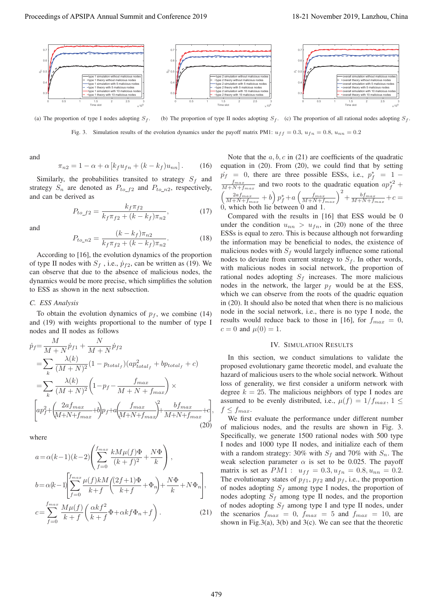

(a) The proportion of type I nodes adopting  $S_f$ . (b) The proportion of type II nodes adopting  $S_f$ . (c) The proportion of all rational nodes adopting  $S_f$ .

Fig. 3. Simulation results of the evolution dynamics under the payoff matrix PM1:  $u_{ff} = 0.3$ ,  $u_{fn} = 0.8$ ,  $u_{nn} = 0.2$ 

and

$$
\pi_{n2} = 1 - \alpha + \alpha \left[ k_f u_{fn} + (k - k_f) u_{nn} \right]. \tag{16}
$$

Similarly, the probabilities transited to strategy  $S_f$  and strategy  $S_n$  are denoted as  $P_{to\_f2}$  and  $P_{to\_n2}$ , respectively, and can be derived as

$$
P_{to\_f2} = \frac{k_f \pi_{f2}}{k_f \pi_{f2} + (k - k_f) \pi_{n2}},\tag{17}
$$

and

$$
P_{to\_n2} = \frac{(k - k_f)\pi_{n2}}{k_f \pi_{f2} + (k - k_f)\pi_{n2}}.
$$
 (18)

According to [16], the evolution dynamics of the proportion of type II nodes with  $S_f$ , i.e.,  $\dot{p}_{f2}$ , can be written as (19). We can observe that due to the absence of malicious nodes, the dynamics would be more precise, which simplifies the solution to ESS as shown in the next subsection.

#### *C. ESS Analysis*

To obtain the evolution dynamics of  $p_f$ , we combine (14) and (19) with weights proportional to the number of type I nodes and II nodes as follows

$$
\dot{p}_f = \frac{M}{M+N}\dot{p}_{f1} + \frac{N}{M+N}\dot{p}_{f2}
$$
\n
$$
= \sum_k \frac{\lambda(k)}{(M+N)^2} (1 - p_{total_f})(ap_{total_f}^2 + bp_{total_f} + c)
$$
\n
$$
= \sum_k \frac{\lambda(k)}{(M+N)^2} \left(1 - p_f - \frac{f_{max}}{M+N+f_{max}}\right) \times
$$
\n
$$
\left[ap_f^2 + \left(\frac{2af_{max}}{M+N+f_{max}} + b\right) p_f + a\left(\frac{f_{max}}{M+N+f_{max}}\right) + \frac{bf_{max}}{M+N+f_{max}} + c\right],
$$
\n(20)

where

$$
a = \alpha(k-1)(k-2)\left(\sum_{f=0}^{f_{max}} \frac{kM\mu(f)\Phi}{(k+f)^2} + \frac{N\Phi}{k}\right),
$$
  
\n
$$
b = \alpha(k-1)\left[\sum_{f=0}^{f_{max}} \frac{\mu(f)kM}{k+f} \left(\frac{(2f+1)\Phi}{k+f} + \Phi_n\right) + \frac{N\Phi}{k} + N\Phi_n\right],
$$
  
\n
$$
c = \sum_{f=0}^{f_{max}} \frac{M\mu(f)}{k+f} \left(\frac{\alpha kf^2}{k+f} \Phi + \alpha kf \Phi_n + f\right).
$$
 (21)

Note that the  $a, b, c$  in (21) are coefficients of the quadratic equation in (20). From (20), we could find that by setting  $p_f = 0$ , there are three possible ESSs, i.e.,  $p_f^* = 1 -$ <br> $\frac{f_{max}}{f_{max}} =$  and two roots to the quadratic equation  $ar^*{}^2$ .  $\frac{f_{max}}{M+N+f_{max}}$  and two roots to the quadratic equation  $ap_f^{*2}$  +  $f_{M+N+f_{max}}$  and two roots to the quadrate equation  $d\nu_f$  +<br>  $\left(\frac{2af_{max}}{M+N+f_{max}}+b\right)p_f^* + a\left(\frac{f_{max}}{M+N+f_{max}}\right)^2 + \frac{bf_{max}}{M+N+f_{max}} + c =$ 0, which both lie between  $\dot{0}$  and 1.<br>Compared with the results in [

Compared with the results in [16] that ESS would be 0 under the condition  $u_{nn} > u_{fn}$ , in (20) none of the three ESSs is equal to zero. This is because although not forwarding the information may be beneficial to nodes, the existence of malicious nodes with  $S_f$  would largely influence some rational nodes to deviate from current strategy to  $S_f$ . In other words, with malicious nodes in social network, the proportion of rational nodes adopting  $S_f$  increases. The more malicious nodes in the network, the larger  $p_f$  would be at the ESS, which we can observe from the roots of the quadric equation in (20). It should also be noted that when there is no malicious node in the social network, i.e., there is no type I node, the results would reduce back to those in [16], for  $f_{max} = 0$ ,  $c = 0$  and  $\mu(0) = 1$ .

#### IV. SIMULATION RESULTS

In this section, we conduct simulations to validate the proposed evolutionary game theoretic model, and evaluate the hazard of malicious users to the whole social network. Without loss of generality, we first consider a uniform network with degree  $k = 25$ . The malicious neighbors of type I nodes are assumed to be evenly distributed, i.e.,  $\mu(f)=1/f_{max}$ ,  $1 \leq$  $f \leq f_{max}$ .

We first evaluate the performance under different number of malicious nodes, and the results are shown in Fig. 3. Specifically, we generate 1500 rational nodes with 500 type I nodes and 1000 type II nodes, and initialize each of them with a random strategy: 30% with  $S_f$  and 70% with  $S_n$ . The weak selection parameter  $\alpha$  is set to be 0.025. The payoff matrix is set as  $PM1: u_{ff} = 0.3, u_{fn} = 0.8, u_{nn} = 0.2.$ The evolutionary states of  $p_{f1}$ ,  $p_{f2}$  and  $p_f$ , i.e., the proportion of nodes adopting  $S_f$  among type I nodes, the proportion of nodes adopting  $S_f$  among type II nodes, and the proportion of nodes adopting  $S_f$  among type I and type II nodes, under the scenarios  $f_{max} = 0$ ,  $f_{max} = 5$  and  $f_{max} = 10$ , are shown in Fig.3(a), 3(b) and 3(c). We can see that the theoretic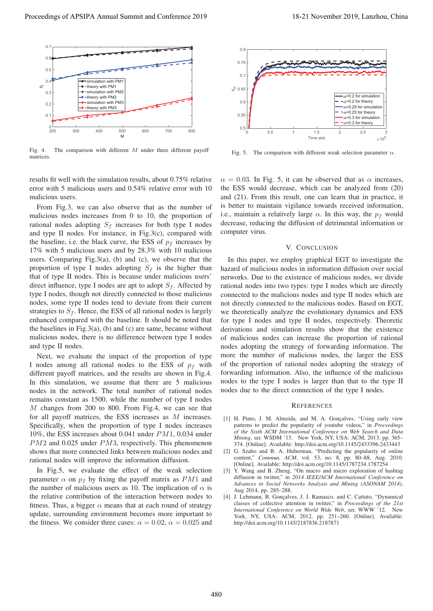

Fig. 4. The comparison with different  $M$  under three different payoff matrices.

results fit well with the simulation results, about 0.75% relative error with 5 malicious users and 0.54% relative error with 10 malicious users.

From Fig.3, we can also observe that as the number of malicious nodes increases from 0 to 10, the proportion of rational nodes adopting  $S_f$  increases for both type I nodes and type II nodes. For instance, in Fig.3(c), compared with the baseline, i.e. the black curve, the ESS of  $p_f$  increases by 17% with 5 malicious users and by 28.3% with 10 malicious users. Comparing Fig.3(a), (b) and (c), we observe that the proportion of type I nodes adopting  $S_f$  is the higher than that of type II nodes. This is because under malicious users' direct influence, type I nodes are apt to adopt  $S_f$ . Affected by type I nodes, though not directly connected to those malicious nodes, some type II nodes tend to deviate from their current strategies to  $S_f$ . Hence, the ESS of all rational nodes is largely enhanced compared with the baseline. It should be noted that the baselines in Fig.3(a), (b) and (c) are same, because without malicious nodes, there is no difference between type I nodes and type II nodes. **Proceeding of APSIPA Annual Summit and Conference 2019**<br>
Proceeding the conference 2019<br>
Proceeding the conference 2019<br>
Proceeding the conference 2019<br>
The conference 2019 Conference 2019<br>
The conference 2019 Conference

Next, we evaluate the impact of the proportion of type I nodes among all rational nodes to the ESS of  $p_f$  with different payoff matrices, and the results are shown in Fig.4. In this simulation, we assume that there are 5 malicious nodes in the network. The total number of rational nodes remains constant as 1500, while the number of type I nodes M changes from 200 to 800. From Fig.4, we can see that for all payoff matrices, the ESS increases as M increases. Specifically, when the proportion of type I nodes increases 10%, the ESS increases about 0.041 under PM1, 0.034 under PM2 and 0.025 under PM3, respectively. This phenomenon shows that more connected links between malicious nodes and rational nodes will improve the information diffusion.

In Fig.5, we evaluate the effect of the weak selection parameter  $\alpha$  on  $p_f$  by fixing the payoff matrix as PM1 and the number of malicious users as 10. The implication of  $\alpha$  is the relative contribution of the interaction between nodes to fitness. Thus, a bigger  $\alpha$  means that at each round of strategy update, surrounding environment becomes more important to the fitness. We consider three cases:  $\alpha = 0.02$ ,  $\alpha = 0.025$  and



Fig. 5. The comparison with different weak selection parameter  $\alpha$ .

 $\alpha = 0.03$ . In Fig. 5, it can be observed that as  $\alpha$  increases, the ESS would decrease, which can be analyzed from (20) and (21). From this result, one can learn that in practice, it is better to maintain vigilance towards received information, i.e., maintain a relatively large  $\alpha$ . In this way, the  $p_f$  would decrease, reducing the diffusion of detrimental information or computer virus.

#### V. CONCLUSION

In this paper, we employ graphical EGT to investigate the hazard of malicious nodes in information diffusion over social networks. Due to the existence of malicious nodes, we divide rational nodes into two types: type I nodes which are directly connected to the malicious nodes and type II nodes which are not directly connected to the malicious nodes. Based on EGT, we theoretically analyze the evolutionary dynamics and ESS for type I nodes and type II nodes, respectively. Theoretic derivations and simulation results show that the existence of malicious nodes can increase the proportion of rational nodes adopting the strategy of forwarding information. The more the number of malicious nodes, the larger the ESS of the proportion of rational nodes adopting the strategy of forwarding information. Also, the influence of the malicious nodes to the type I nodes is larger than that to the type II nodes due to the direct connection of the type I nodes.

### REFERENCES

- [1] H. Pinto, J. M. Almeida, and M. A. Gonçalves, "Using early view patterns to predict the popularity of youtube videos," in *Proceedings of the Sixth ACM International Conference on Web Search and Data Mining*, ser. WSDM '13. New York, NY, USA: ACM, 2013, pp. 365– 374. [Online]. Available: http://doi.acm.org/10.1145/2433396.2433443
- [2] G. Szabo and B. A. Huberman, "Predicting the popularity of online content," *Commun. ACM*, vol. 53, no. 8, pp. 80–88, Aug. 2010. [Online]. Available: http://doi.acm.org/10.1145/1787234.1787254
- [3] Y. Wang and B. Zheng, "On macro and micro exploration of hashtag diffusion in twitter," in *2014 IEEE/ACM International Conference on Advances in Social Networks Analysis and Mining (ASONAM 2014)*, Aug 2014, pp. 285–288.
- [4] J. Lehmann, B. Goncalves, J. J. Ramasco, and C. Cattuto, "Dynamical classes of collective attention in twitter," in *Proceedings of the 21st International Conference on World Wide Web*, ser. WWW '12. New York, NY, USA: ACM, 2012, pp. 251–260. [Online]. Available: http://doi.acm.org/10.1145/2187836.2187871